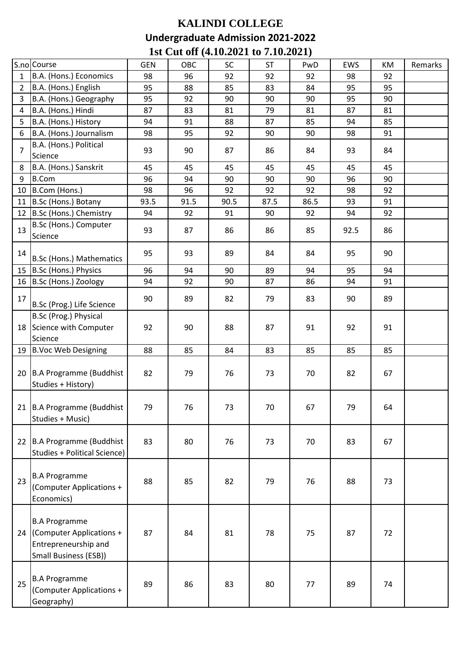## **KALINDI COLLEGE Undergraduate Admission 2021-2022 1st Cut off (4.10.2021 to 7.10.2021)**

|                | S.no Course                                                                                       | <b>GEN</b> | OBC  | SC   | <b>ST</b> | PwD  | <b>EWS</b> | KM | Remarks |
|----------------|---------------------------------------------------------------------------------------------------|------------|------|------|-----------|------|------------|----|---------|
| 1              | B.A. (Hons.) Economics                                                                            | 98         | 96   | 92   | 92        | 92   | 98         | 92 |         |
| $\overline{2}$ | B.A. (Hons.) English                                                                              | 95         | 88   | 85   | 83        | 84   | 95         | 95 |         |
| 3              | B.A. (Hons.) Geography                                                                            | 95         | 92   | 90   | 90        | 90   | 95         | 90 |         |
| 4              | B.A. (Hons.) Hindi                                                                                | 87         | 83   | 81   | 79        | 81   | 87         | 81 |         |
| 5              | B.A. (Hons.) History                                                                              | 94         | 91   | 88   | 87        | 85   | 94         | 85 |         |
| 6              | B.A. (Hons.) Journalism                                                                           | 98         | 95   | 92   | 90        | 90   | 98         | 91 |         |
| $\overline{7}$ | B.A. (Hons.) Political<br>Science                                                                 | 93         | 90   | 87   | 86        | 84   | 93         | 84 |         |
| 8              | B.A. (Hons.) Sanskrit                                                                             | 45         | 45   | 45   | 45        | 45   | 45         | 45 |         |
| 9              | <b>B.Com</b>                                                                                      | 96         | 94   | 90   | 90        | 90   | 96         | 90 |         |
| 10             | B.Com (Hons.)                                                                                     | 98         | 96   | 92   | 92        | 92   | 98         | 92 |         |
| 11             | B.Sc (Hons.) Botany                                                                               | 93.5       | 91.5 | 90.5 | 87.5      | 86.5 | 93         | 91 |         |
| 12             | B.Sc (Hons.) Chemistry                                                                            | 94         | 92   | 91   | 90        | 92   | 94         | 92 |         |
| 13             | B.Sc (Hons.) Computer<br>Science                                                                  | 93         | 87   | 86   | 86        | 85   | 92.5       | 86 |         |
| 14             | B.Sc (Hons.) Mathematics                                                                          | 95         | 93   | 89   | 84        | 84   | 95         | 90 |         |
| 15             | B.Sc (Hons.) Physics                                                                              | 96         | 94   | 90   | 89        | 94   | 95         | 94 |         |
|                | 16 B.Sc (Hons.) Zoology                                                                           | 94         | 92   | 90   | 87        | 86   | 94         | 91 |         |
| 17             | B.Sc (Prog.) Life Science                                                                         | 90         | 89   | 82   | 79        | 83   | 90         | 89 |         |
|                | B.Sc (Prog.) Physical<br>18 Science with Computer<br>Science                                      | 92         | 90   | 88   | 87        | 91   | 92         | 91 |         |
| 19             | B.Voc Web Designing                                                                               | 88         | 85   | 84   | 83        | 85   | 85         | 85 |         |
| 20             | <b>B.A Programme (Buddhist</b><br>Studies + History)                                              | 82         | 79   | 76   | 73        | 70   | 82         | 67 |         |
|                | 21 B.A Programme (Buddhist<br>Studies + Music)                                                    | 79         | 76   | 73   | 70        | 67   | 79         | 64 |         |
| 22             | B.A Programme (Buddhist<br><b>Studies + Political Science)</b>                                    | 83         | 80   | 76   | 73        | 70   | 83         | 67 |         |
| 23             | <b>B.A Programme</b><br>(Computer Applications +<br>Economics)                                    | 88         | 85   | 82   | 79        | 76   | 88         | 73 |         |
| 24             | <b>B.A Programme</b><br>(Computer Applications +<br>Entrepreneurship and<br>Small Business (ESB)) | 87         | 84   | 81   | 78        | 75   | 87         | 72 |         |
| 25             | <b>B.A Programme</b><br>(Computer Applications +<br>Geography)                                    | 89         | 86   | 83   | 80        | 77   | 89         | 74 |         |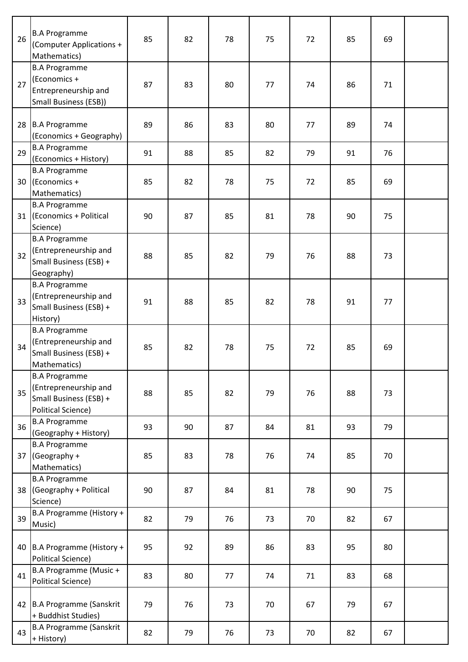| 26              | <b>B.A Programme</b><br>(Computer Applications +<br>Mathematics)                                     | 85 | 82 | 78 | 75 | 72 | 85 | 69 |  |
|-----------------|------------------------------------------------------------------------------------------------------|----|----|----|----|----|----|----|--|
| 27              | <b>B.A Programme</b><br>(Economics +<br>Entrepreneurship and<br>Small Business (ESB))                | 87 | 83 | 80 | 77 | 74 | 86 | 71 |  |
|                 | 28 B.A Programme<br>(Economics + Geography)                                                          | 89 | 86 | 83 | 80 | 77 | 89 | 74 |  |
| 29              | <b>B.A Programme</b><br>(Economics + History)                                                        | 91 | 88 | 85 | 82 | 79 | 91 | 76 |  |
| 30 <sup>1</sup> | <b>B.A Programme</b><br>(Economics +<br>Mathematics)                                                 | 85 | 82 | 78 | 75 | 72 | 85 | 69 |  |
| 31              | <b>B.A Programme</b><br>(Economics + Political<br>Science)                                           | 90 | 87 | 85 | 81 | 78 | 90 | 75 |  |
| 32              | <b>B.A Programme</b><br>(Entrepreneurship and<br>Small Business (ESB) +<br>Geography)                | 88 | 85 | 82 | 79 | 76 | 88 | 73 |  |
| 33              | <b>B.A Programme</b><br>(Entrepreneurship and<br>Small Business (ESB) +<br>History)                  | 91 | 88 | 85 | 82 | 78 | 91 | 77 |  |
| 34              | <b>B.A Programme</b><br>(Entrepreneurship and<br>Small Business (ESB) +<br>Mathematics)              | 85 | 82 | 78 | 75 | 72 | 85 | 69 |  |
| 35              | <b>B.A Programme</b><br>(Entrepreneurship and<br>Small Business (ESB) +<br><b>Political Science)</b> | 88 | 85 | 82 | 79 | 76 | 88 | 73 |  |
| 36              | <b>B.A Programme</b><br>(Geography + History)                                                        | 93 | 90 | 87 | 84 | 81 | 93 | 79 |  |
| 37              | <b>B.A Programme</b><br>(Geography +<br>Mathematics)                                                 | 85 | 83 | 78 | 76 | 74 | 85 | 70 |  |
| 38              | <b>B.A Programme</b><br>(Geography + Political<br>Science)                                           | 90 | 87 | 84 | 81 | 78 | 90 | 75 |  |
| 39              | B.A Programme (History +<br>Music)                                                                   | 82 | 79 | 76 | 73 | 70 | 82 | 67 |  |
| 40              | B.A Programme (History +<br><b>Political Science)</b>                                                | 95 | 92 | 89 | 86 | 83 | 95 | 80 |  |
| 41              | B.A Programme (Music +<br>Political Science)                                                         | 83 | 80 | 77 | 74 | 71 | 83 | 68 |  |
|                 | 42 B.A Programme (Sanskrit<br>+ Buddhist Studies)                                                    | 79 | 76 | 73 | 70 | 67 | 79 | 67 |  |
| 43              | <b>B.A Programme (Sanskrit</b><br>+ History)                                                         | 82 | 79 | 76 | 73 | 70 | 82 | 67 |  |